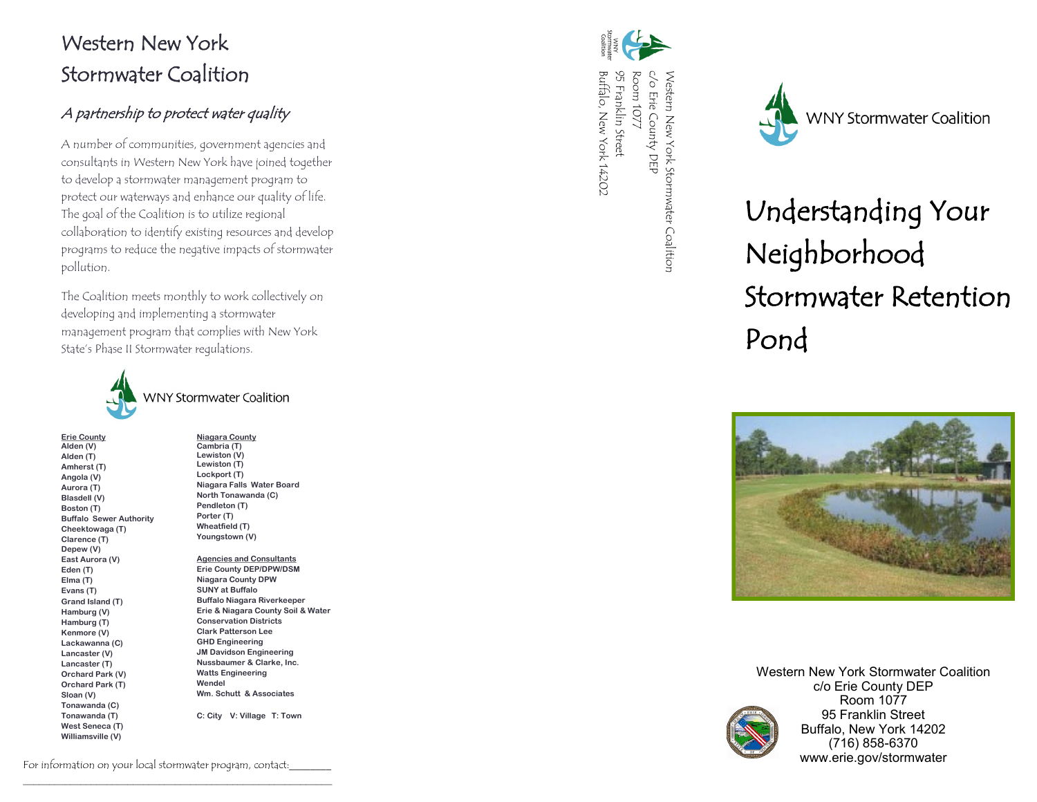# Western New York Stormwater Coalition

### A partnership to protect water quality

A number of communities, government agencies and consultants in Western New York have joined together to develop a stormwater management program to protect our waterways and enhance our quality of life. The goal of the Coalition is to utilize regional collaboration to identify existing resources and develop programs to reduce the negative impacts of stormwater pollution.

The Coalition meets monthly to work collectively on developing and implementing a stormwater management program that complies with New York State's Phase II Stormwater regulations.



| <b>Erie County</b>             |
|--------------------------------|
| Alden (V)                      |
| Alden (T)                      |
| Amherst (T)                    |
| Angola (V)                     |
| Aurora (T)                     |
| <b>Blasdell (V)</b>            |
| Boston (T)                     |
| <b>Buffalo Sewer Authority</b> |
| Cheektowaga (T)                |
| Clarence (T)                   |
| Depew (V)                      |
| East Aurora (V)                |
| Eden (T)                       |
| Elma (T)                       |
| Evans (T)                      |
| Grand Island (T)               |
| Hamburg (V)                    |
| Hamburg (T)                    |
| Kenmore (V)                    |
| Lackawanna (C)                 |
| Lancaster (V)                  |
| Lancaster (T)                  |
| Orchard Park (V)               |
| Orchard Park (T)               |
| Sloan (V)                      |
| Tonawanda (C)                  |
| Tonawanda (T)                  |
| West Seneca (T)                |
| Williamsville (V)              |
|                                |

**Niagara County Cambria (T) Lewiston (V) Lewiston (T) Lockport (T) Niagara Falls Water Board North Tonawanda (C) Pendleton (T) Porter (T) Wheatfield (T) Youngstown (V)** 

**Agencies and Consultants Erie County DEP/DPW/DSM Niagara County DPW SUNY at Buffalo Buffalo Niagara Riverkeeper Erie & Niagara County Soil & Water Conservation Districts Clark Patterson Lee GHD Engineering JM Davidson Engineering Nussbaumer & Clarke, Inc. Watts Engineering Wendel Wm. Schutt & Associates**

**C: City V: Village T: Town**



Room 1077 **Buffalo, New York 14202** 95 Franklin Street c/o Erie County DEP c/o Erie County DEP Buffalo, New York 14202 95 Franklin Street Room 1077 Western New York Stormwater Coalition Nestern New York Stormwater Coalition



# Understanding Your Neighborhood Stormwater Retention Pond



Western New York Stormwater Coalition c/o Erie County DEP Room 1077 95 Franklin Street Buffalo, New York 14202 (716) 858 -6370 www.erie.gov/stormwater

For information on your local stormwater program, contact: